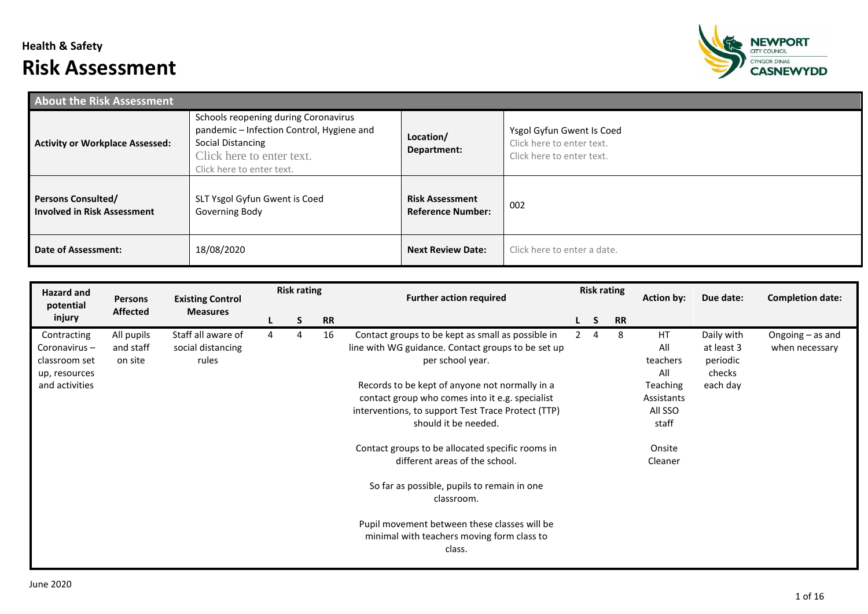## **Health & Safety Risk Assessment**



| <b>About the Risk Assessment</b>                                |                                                                                                                                                                  |                                                    |                                                                                     |
|-----------------------------------------------------------------|------------------------------------------------------------------------------------------------------------------------------------------------------------------|----------------------------------------------------|-------------------------------------------------------------------------------------|
| <b>Activity or Workplace Assessed:</b>                          | Schools reopening during Coronavirus<br>pandemic - Infection Control, Hygiene and<br>Social Distancing<br>Click here to enter text.<br>Click here to enter text. | Location/<br>Department:                           | Ysgol Gyfun Gwent Is Coed<br>Click here to enter text.<br>Click here to enter text. |
| <b>Persons Consulted/</b><br><b>Involved in Risk Assessment</b> | SLT Ysgol Gyfun Gwent is Coed<br>Governing Body                                                                                                                  | <b>Risk Assessment</b><br><b>Reference Number:</b> | 002                                                                                 |
| <b>Date of Assessment:</b>                                      | 18/08/2020                                                                                                                                                       | <b>Next Review Date:</b>                           | Click here to enter a date.                                                         |

| Hazard and<br>potential                                       | <b>Persons</b>                     | <b>Existing Control</b>                          |   | <b>Risk rating</b> |           | <b>Further action required</b>                                                                                                                                                  |   | <b>Risk rating</b>      |           | <b>Action by:</b>                                 | Due date:                                      | <b>Completion date:</b>              |
|---------------------------------------------------------------|------------------------------------|--------------------------------------------------|---|--------------------|-----------|---------------------------------------------------------------------------------------------------------------------------------------------------------------------------------|---|-------------------------|-----------|---------------------------------------------------|------------------------------------------------|--------------------------------------|
| injury                                                        | <b>Affected</b>                    | <b>Measures</b>                                  |   | S.                 | <b>RR</b> |                                                                                                                                                                                 | L | $\overline{\mathsf{S}}$ | <b>RR</b> |                                                   |                                                |                                      |
| Contracting<br>Coronavirus-<br>classroom set<br>up, resources | All pupils<br>and staff<br>on site | Staff all aware of<br>social distancing<br>rules | 4 | 4                  | 16        | Contact groups to be kept as small as possible in<br>line with WG guidance. Contact groups to be set up<br>per school year.                                                     |   | $\overline{4}$          | 8         | HT<br>All<br>teachers<br>All                      | Daily with<br>at least 3<br>periodic<br>checks | Ongoing $-$ as and<br>when necessary |
| and activities                                                |                                    |                                                  |   |                    |           | Records to be kept of anyone not normally in a<br>contact group who comes into it e.g. specialist<br>interventions, to support Test Trace Protect (TTP)<br>should it be needed. |   |                         |           | <b>Teaching</b><br>Assistants<br>All SSO<br>staff | each day                                       |                                      |
|                                                               |                                    |                                                  |   |                    |           | Contact groups to be allocated specific rooms in<br>different areas of the school.                                                                                              |   |                         |           | Onsite<br>Cleaner                                 |                                                |                                      |
|                                                               |                                    |                                                  |   |                    |           | So far as possible, pupils to remain in one<br>classroom.                                                                                                                       |   |                         |           |                                                   |                                                |                                      |
|                                                               |                                    |                                                  |   |                    |           | Pupil movement between these classes will be<br>minimal with teachers moving form class to<br>class.                                                                            |   |                         |           |                                                   |                                                |                                      |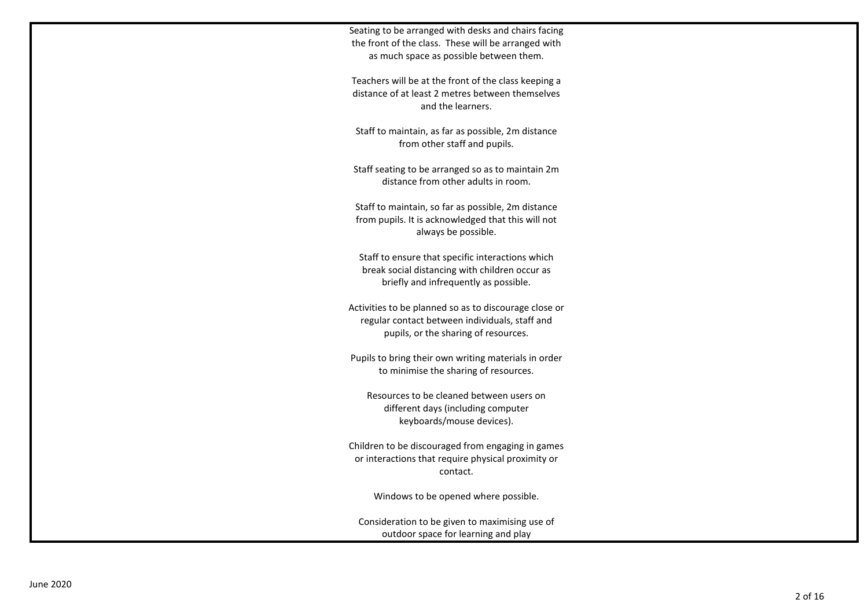Seating to be arranged with desks and chairs facing the front of the class. These will be arranged with as much space as possible between them.

Teachers will be at the front of the class keeping a distance of at least 2 metres between themselves and the learners.

Staff to maintain, as far as possible, 2m distance from other staff and pupils.

Staff seating to be arranged so as to maintain 2m distance from other adults in room.

Staff to maintain, so far as possible, 2m distance from pupils. It is acknowledged that this will not always be possible.

Staff to ensure that specific interactions which break social distancing with children occur as briefly and infrequently as possible.

Activities to be planned so as to discourage close or regular contact between individuals, staff and pupils, or the sharing of resources.

Pupils to bring their own writing materials in order to minimise the sharing of resources.

Resources to be cleaned between users on different days (including computer keyboards/mouse devices).

Children to be discouraged from engaging in games or interactions that require physical proximity or contact.

Windows to be opened where possible.

Consideration to be given to maximising use of outdoor space for learning and play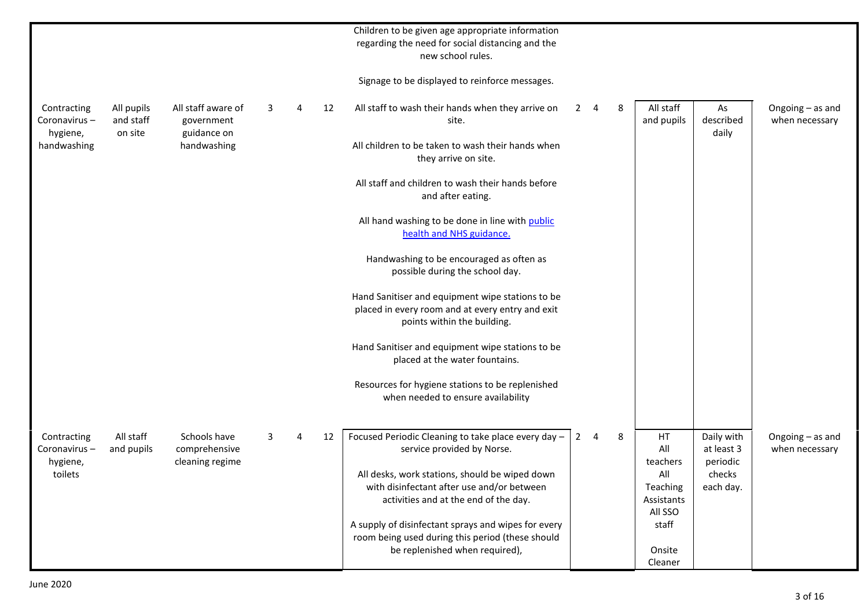|                                         |                                    |                                                  |   |   |    | Children to be given age appropriate information<br>regarding the need for social distancing and the<br>new school rules.                 |                |   |   |                                       |                                      |                                    |
|-----------------------------------------|------------------------------------|--------------------------------------------------|---|---|----|-------------------------------------------------------------------------------------------------------------------------------------------|----------------|---|---|---------------------------------------|--------------------------------------|------------------------------------|
|                                         |                                    |                                                  |   |   |    | Signage to be displayed to reinforce messages.                                                                                            |                |   |   |                                       |                                      |                                    |
| Contracting<br>Coronavirus-<br>hygiene, | All pupils<br>and staff<br>on site | All staff aware of<br>government<br>guidance on  | 3 | 4 | 12 | All staff to wash their hands when they arrive on<br>site.                                                                                | $\mathbf{2}$   | 4 | 8 | All staff<br>and pupils               | As<br>described<br>daily             | Ongoing - as and<br>when necessary |
| handwashing                             |                                    | handwashing                                      |   |   |    | All children to be taken to wash their hands when<br>they arrive on site.                                                                 |                |   |   |                                       |                                      |                                    |
|                                         |                                    |                                                  |   |   |    | All staff and children to wash their hands before<br>and after eating.                                                                    |                |   |   |                                       |                                      |                                    |
|                                         |                                    |                                                  |   |   |    | All hand washing to be done in line with public<br>health and NHS guidance.                                                               |                |   |   |                                       |                                      |                                    |
|                                         |                                    |                                                  |   |   |    | Handwashing to be encouraged as often as<br>possible during the school day.                                                               |                |   |   |                                       |                                      |                                    |
|                                         |                                    |                                                  |   |   |    | Hand Sanitiser and equipment wipe stations to be<br>placed in every room and at every entry and exit<br>points within the building.       |                |   |   |                                       |                                      |                                    |
|                                         |                                    |                                                  |   |   |    | Hand Sanitiser and equipment wipe stations to be<br>placed at the water fountains.                                                        |                |   |   |                                       |                                      |                                    |
|                                         |                                    |                                                  |   |   |    | Resources for hygiene stations to be replenished<br>when needed to ensure availability                                                    |                |   |   |                                       |                                      |                                    |
|                                         |                                    |                                                  |   |   |    |                                                                                                                                           |                |   |   |                                       |                                      |                                    |
| Contracting<br>Coronavirus-<br>hygiene, | All staff<br>and pupils            | Schools have<br>comprehensive<br>cleaning regime | 3 |   | 12 | Focused Periodic Cleaning to take place every day -<br>service provided by Norse.                                                         | $\overline{2}$ | 4 | 8 | HT<br>All<br>teachers                 | Daily with<br>at least 3<br>periodic | Ongoing - as and<br>when necessary |
| toilets                                 |                                    |                                                  |   |   |    | All desks, work stations, should be wiped down<br>with disinfectant after use and/or between<br>activities and at the end of the day.     |                |   |   | All<br>Teaching<br>Assistants         | checks<br>each day.                  |                                    |
|                                         |                                    |                                                  |   |   |    | A supply of disinfectant sprays and wipes for every<br>room being used during this period (these should<br>be replenished when required), |                |   |   | All SSO<br>staff<br>Onsite<br>Cleaner |                                      |                                    |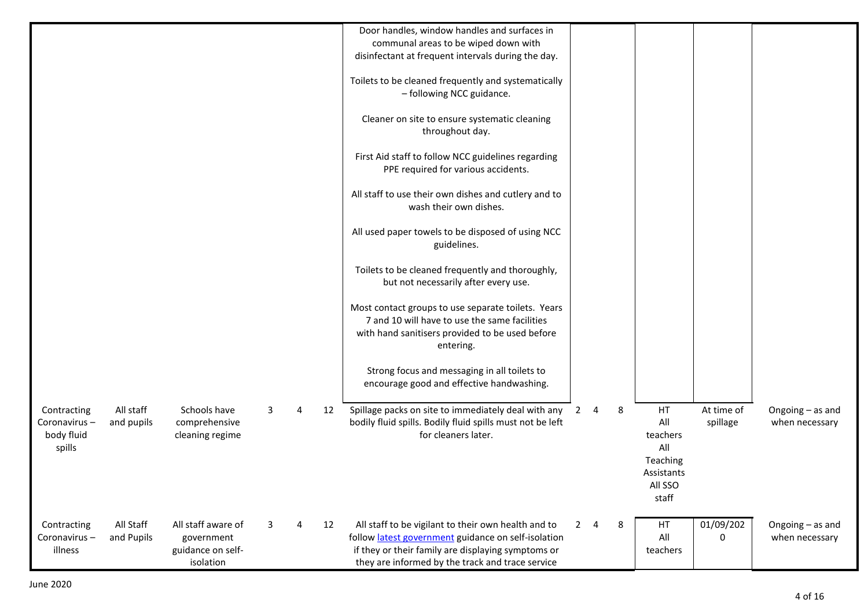|              |            |                    |   |   |    | Door handles, window handles and surfaces in                                             |             |             |   |            |            |                  |
|--------------|------------|--------------------|---|---|----|------------------------------------------------------------------------------------------|-------------|-------------|---|------------|------------|------------------|
|              |            |                    |   |   |    | communal areas to be wiped down with                                                     |             |             |   |            |            |                  |
|              |            |                    |   |   |    | disinfectant at frequent intervals during the day.                                       |             |             |   |            |            |                  |
|              |            |                    |   |   |    | Toilets to be cleaned frequently and systematically                                      |             |             |   |            |            |                  |
|              |            |                    |   |   |    | - following NCC guidance.                                                                |             |             |   |            |            |                  |
|              |            |                    |   |   |    |                                                                                          |             |             |   |            |            |                  |
|              |            |                    |   |   |    | Cleaner on site to ensure systematic cleaning                                            |             |             |   |            |            |                  |
|              |            |                    |   |   |    | throughout day.                                                                          |             |             |   |            |            |                  |
|              |            |                    |   |   |    |                                                                                          |             |             |   |            |            |                  |
|              |            |                    |   |   |    | First Aid staff to follow NCC guidelines regarding                                       |             |             |   |            |            |                  |
|              |            |                    |   |   |    | PPE required for various accidents.                                                      |             |             |   |            |            |                  |
|              |            |                    |   |   |    |                                                                                          |             |             |   |            |            |                  |
|              |            |                    |   |   |    | All staff to use their own dishes and cutlery and to                                     |             |             |   |            |            |                  |
|              |            |                    |   |   |    | wash their own dishes.                                                                   |             |             |   |            |            |                  |
|              |            |                    |   |   |    |                                                                                          |             |             |   |            |            |                  |
|              |            |                    |   |   |    | All used paper towels to be disposed of using NCC                                        |             |             |   |            |            |                  |
|              |            |                    |   |   |    | guidelines.                                                                              |             |             |   |            |            |                  |
|              |            |                    |   |   |    |                                                                                          |             |             |   |            |            |                  |
|              |            |                    |   |   |    | Toilets to be cleaned frequently and thoroughly,<br>but not necessarily after every use. |             |             |   |            |            |                  |
|              |            |                    |   |   |    |                                                                                          |             |             |   |            |            |                  |
|              |            |                    |   |   |    | Most contact groups to use separate toilets. Years                                       |             |             |   |            |            |                  |
|              |            |                    |   |   |    | 7 and 10 will have to use the same facilities                                            |             |             |   |            |            |                  |
|              |            |                    |   |   |    | with hand sanitisers provided to be used before                                          |             |             |   |            |            |                  |
|              |            |                    |   |   |    | entering.                                                                                |             |             |   |            |            |                  |
|              |            |                    |   |   |    |                                                                                          |             |             |   |            |            |                  |
|              |            |                    |   |   |    | Strong focus and messaging in all toilets to                                             |             |             |   |            |            |                  |
|              |            |                    |   |   |    | encourage good and effective handwashing.                                                |             |             |   |            |            |                  |
|              |            |                    |   |   |    |                                                                                          |             |             |   |            |            |                  |
| Contracting  | All staff  | Schools have       | 3 |   | 12 | Spillage packs on site to immediately deal with any                                      |             | $2 \quad 4$ | 8 | HT         | At time of | Ongoing - as and |
| Coronavirus- | and pupils | comprehensive      |   |   |    | bodily fluid spills. Bodily fluid spills must not be left                                |             |             |   | All        | spillage   | when necessary   |
| body fluid   |            | cleaning regime    |   |   |    | for cleaners later.                                                                      |             |             |   | teachers   |            |                  |
| spills       |            |                    |   |   |    |                                                                                          |             |             |   | All        |            |                  |
|              |            |                    |   |   |    |                                                                                          |             |             |   | Teaching   |            |                  |
|              |            |                    |   |   |    |                                                                                          |             |             |   | Assistants |            |                  |
|              |            |                    |   |   |    |                                                                                          |             |             |   | All SSO    |            |                  |
|              |            |                    |   |   |    |                                                                                          |             |             |   | staff      |            |                  |
|              |            |                    |   |   |    |                                                                                          |             |             |   |            |            |                  |
| Contracting  | All Staff  | All staff aware of | 3 | 4 | 12 | All staff to be vigilant to their own health and to                                      | $2^{\circ}$ | 4           | 8 | HT         | 01/09/202  | Ongoing - as and |
| Coronavirus- | and Pupils | government         |   |   |    | follow latest government guidance on self-isolation                                      |             |             |   | All        | 0          | when necessary   |
| illness      |            | guidance on self-  |   |   |    | if they or their family are displaying symptoms or                                       |             |             |   | teachers   |            |                  |
|              |            | isolation          |   |   |    | they are informed by the track and trace service                                         |             |             |   |            |            |                  |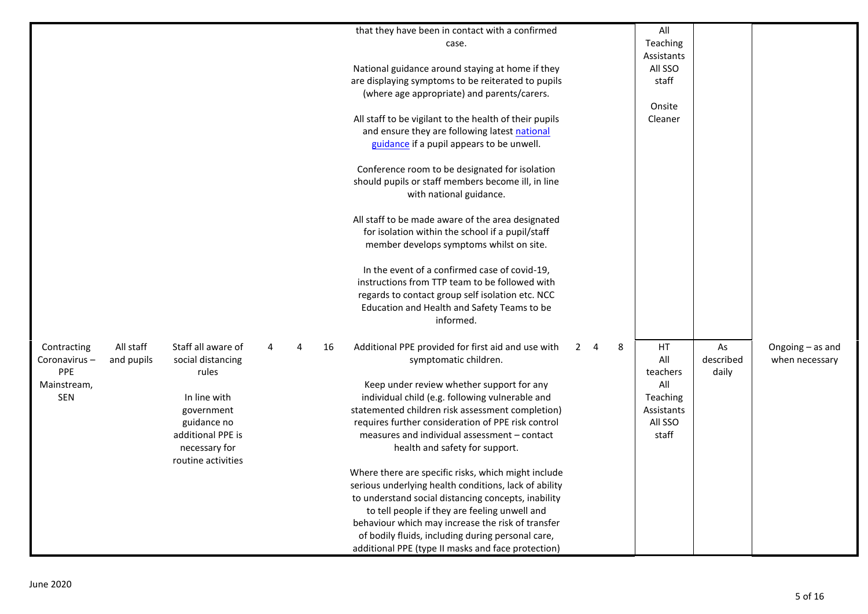|                            |                    |   |   |    | that they have been in contact with a confirmed        |             |                |   | All        |           |                  |
|----------------------------|--------------------|---|---|----|--------------------------------------------------------|-------------|----------------|---|------------|-----------|------------------|
|                            |                    |   |   |    | case.                                                  |             |                |   | Teaching   |           |                  |
|                            |                    |   |   |    |                                                        |             |                |   | Assistants |           |                  |
|                            |                    |   |   |    | National guidance around staying at home if they       |             |                |   | All SSO    |           |                  |
|                            |                    |   |   |    | are displaying symptoms to be reiterated to pupils     |             |                |   | staff      |           |                  |
|                            |                    |   |   |    | (where age appropriate) and parents/carers.            |             |                |   |            |           |                  |
|                            |                    |   |   |    |                                                        |             |                |   | Onsite     |           |                  |
|                            |                    |   |   |    | All staff to be vigilant to the health of their pupils |             |                |   | Cleaner    |           |                  |
|                            |                    |   |   |    | and ensure they are following latest national          |             |                |   |            |           |                  |
|                            |                    |   |   |    | guidance if a pupil appears to be unwell.              |             |                |   |            |           |                  |
|                            |                    |   |   |    |                                                        |             |                |   |            |           |                  |
|                            |                    |   |   |    | Conference room to be designated for isolation         |             |                |   |            |           |                  |
|                            |                    |   |   |    | should pupils or staff members become ill, in line     |             |                |   |            |           |                  |
|                            |                    |   |   |    | with national guidance.                                |             |                |   |            |           |                  |
|                            |                    |   |   |    |                                                        |             |                |   |            |           |                  |
|                            |                    |   |   |    | All staff to be made aware of the area designated      |             |                |   |            |           |                  |
|                            |                    |   |   |    | for isolation within the school if a pupil/staff       |             |                |   |            |           |                  |
|                            |                    |   |   |    | member develops symptoms whilst on site.               |             |                |   |            |           |                  |
|                            |                    |   |   |    |                                                        |             |                |   |            |           |                  |
|                            |                    |   |   |    | In the event of a confirmed case of covid-19,          |             |                |   |            |           |                  |
|                            |                    |   |   |    | instructions from TTP team to be followed with         |             |                |   |            |           |                  |
|                            |                    |   |   |    | regards to contact group self isolation etc. NCC       |             |                |   |            |           |                  |
|                            |                    |   |   |    | Education and Health and Safety Teams to be            |             |                |   |            |           |                  |
|                            |                    |   |   |    | informed.                                              |             |                |   |            |           |                  |
|                            |                    |   |   |    |                                                        |             |                |   |            |           |                  |
| All staff<br>Contracting   | Staff all aware of | 4 | 4 | 16 | Additional PPE provided for first aid and use with     | $2^{\circ}$ | $\overline{4}$ | 8 | HT         | As        | Ongoing - as and |
| Coronavirus-<br>and pupils | social distancing  |   |   |    | symptomatic children.                                  |             |                |   | All        | described | when necessary   |
| PPE                        | rules              |   |   |    |                                                        |             |                |   | teachers   | daily     |                  |
| Mainstream,                |                    |   |   |    | Keep under review whether support for any              |             |                |   | All        |           |                  |
| <b>SEN</b>                 | In line with       |   |   |    | individual child (e.g. following vulnerable and        |             |                |   | Teaching   |           |                  |
|                            | government         |   |   |    | statemented children risk assessment completion)       |             |                |   | Assistants |           |                  |
|                            | guidance no        |   |   |    | requires further consideration of PPE risk control     |             |                |   | All SSO    |           |                  |
|                            | additional PPE is  |   |   |    | measures and individual assessment - contact           |             |                |   | staff      |           |                  |
|                            | necessary for      |   |   |    | health and safety for support.                         |             |                |   |            |           |                  |
|                            | routine activities |   |   |    |                                                        |             |                |   |            |           |                  |
|                            |                    |   |   |    | Where there are specific risks, which might include    |             |                |   |            |           |                  |
|                            |                    |   |   |    | serious underlying health conditions, lack of ability  |             |                |   |            |           |                  |
|                            |                    |   |   |    | to understand social distancing concepts, inability    |             |                |   |            |           |                  |
|                            |                    |   |   |    | to tell people if they are feeling unwell and          |             |                |   |            |           |                  |
|                            |                    |   |   |    | behaviour which may increase the risk of transfer      |             |                |   |            |           |                  |
|                            |                    |   |   |    | of bodily fluids, including during personal care,      |             |                |   |            |           |                  |
|                            |                    |   |   |    | additional PPE (type II masks and face protection)     |             |                |   |            |           |                  |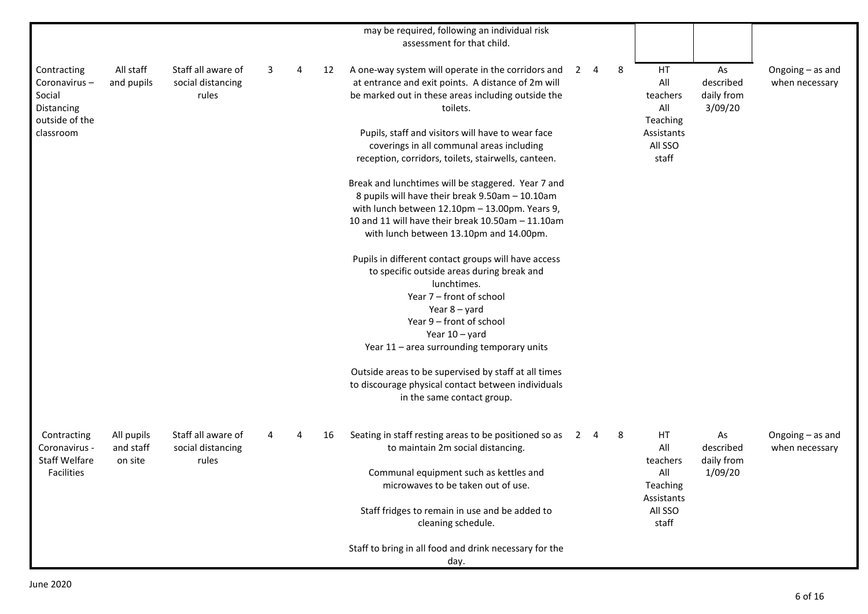|                                                                       |                                    |                                                  |   |   |    | may be required, following an individual risk<br>assessment for that child.                                                                                                |   |             |   |                                          |                                          |                                    |
|-----------------------------------------------------------------------|------------------------------------|--------------------------------------------------|---|---|----|----------------------------------------------------------------------------------------------------------------------------------------------------------------------------|---|-------------|---|------------------------------------------|------------------------------------------|------------------------------------|
| Contracting<br>Coronavirus-<br>Social<br>Distancing<br>outside of the | All staff<br>and pupils            | Staff all aware of<br>social distancing<br>rules | 3 | 4 | 12 | A one-way system will operate in the corridors and<br>at entrance and exit points. A distance of 2m will<br>be marked out in these areas including outside the<br>toilets. |   | $2 \quad 4$ | 8 | HT<br>All<br>teachers<br>All<br>Teaching | As<br>described<br>daily from<br>3/09/20 | Ongoing - as and<br>when necessary |
| classroom                                                             |                                    |                                                  |   |   |    | Pupils, staff and visitors will have to wear face<br>coverings in all communal areas including<br>reception, corridors, toilets, stairwells, canteen.                      |   |             |   | Assistants<br>All SSO<br>staff           |                                          |                                    |
|                                                                       |                                    |                                                  |   |   |    | Break and lunchtimes will be staggered. Year 7 and<br>8 pupils will have their break 9.50am - 10.10am<br>with lunch between 12.10pm - 13.00pm. Years 9,                    |   |             |   |                                          |                                          |                                    |
|                                                                       |                                    |                                                  |   |   |    | 10 and 11 will have their break 10.50am - 11.10am<br>with lunch between 13.10pm and 14.00pm.                                                                               |   |             |   |                                          |                                          |                                    |
|                                                                       |                                    |                                                  |   |   |    | Pupils in different contact groups will have access<br>to specific outside areas during break and<br>lunchtimes.<br>Year 7 - front of school                               |   |             |   |                                          |                                          |                                    |
|                                                                       |                                    |                                                  |   |   |    | Year $8 -$ yard<br>Year 9 - front of school<br>Year $10 -$ yard<br>Year 11 - area surrounding temporary units                                                              |   |             |   |                                          |                                          |                                    |
|                                                                       |                                    |                                                  |   |   |    | Outside areas to be supervised by staff at all times<br>to discourage physical contact between individuals<br>in the same contact group.                                   |   |             |   |                                          |                                          |                                    |
| Contracting<br>Coronavirus -<br><b>Staff Welfare</b>                  | All pupils<br>and staff<br>on site | Staff all aware of<br>social distancing<br>rules |   |   | 16 | Seating in staff resting areas to be positioned so as<br>to maintain 2m social distancing.                                                                                 | 2 | 4           | 8 | HT<br>All<br>teachers                    | As<br>described<br>daily from            | Ongoing - as and<br>when necessary |
| <b>Facilities</b>                                                     |                                    |                                                  |   |   |    | Communal equipment such as kettles and<br>microwaves to be taken out of use.                                                                                               |   |             |   | All<br>Teaching<br>Assistants            | 1/09/20                                  |                                    |
|                                                                       |                                    |                                                  |   |   |    | Staff fridges to remain in use and be added to<br>cleaning schedule.                                                                                                       |   |             |   | All SSO<br>staff                         |                                          |                                    |
|                                                                       |                                    |                                                  |   |   |    | Staff to bring in all food and drink necessary for the<br>day.                                                                                                             |   |             |   |                                          |                                          |                                    |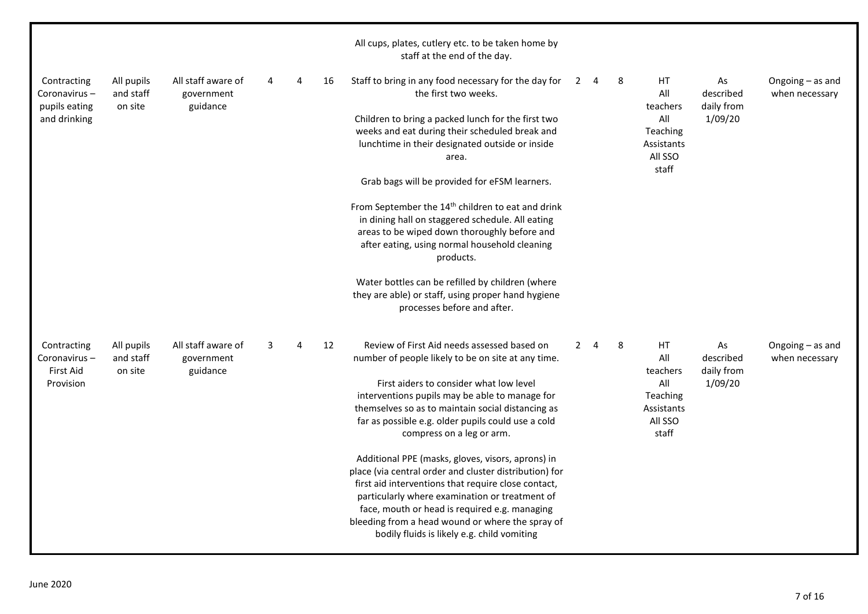|                                              |                                    |                                              |   |   |    | All cups, plates, cutlery etc. to be taken home by<br>staff at the end of the day.                                                                                                                                                                                                                                                                                       |                |             |   |                                                   |                               |                                    |
|----------------------------------------------|------------------------------------|----------------------------------------------|---|---|----|--------------------------------------------------------------------------------------------------------------------------------------------------------------------------------------------------------------------------------------------------------------------------------------------------------------------------------------------------------------------------|----------------|-------------|---|---------------------------------------------------|-------------------------------|------------------------------------|
| Contracting<br>Coronavirus-<br>pupils eating | All pupils<br>and staff<br>on site | All staff aware of<br>government<br>guidance | 4 | 4 | 16 | Staff to bring in any food necessary for the day for<br>the first two weeks.                                                                                                                                                                                                                                                                                             | $\overline{2}$ | 4           | 8 | HT.<br>All<br>teachers                            | As<br>described<br>daily from | Ongoing - as and<br>when necessary |
| and drinking                                 |                                    |                                              |   |   |    | Children to bring a packed lunch for the first two<br>weeks and eat during their scheduled break and<br>lunchtime in their designated outside or inside<br>area.                                                                                                                                                                                                         |                |             |   | All<br>Teaching<br>Assistants<br>All SSO<br>staff | 1/09/20                       |                                    |
|                                              |                                    |                                              |   |   |    | Grab bags will be provided for eFSM learners.                                                                                                                                                                                                                                                                                                                            |                |             |   |                                                   |                               |                                    |
|                                              |                                    |                                              |   |   |    | From September the 14 <sup>th</sup> children to eat and drink<br>in dining hall on staggered schedule. All eating<br>areas to be wiped down thoroughly before and<br>after eating, using normal household cleaning<br>products.                                                                                                                                          |                |             |   |                                                   |                               |                                    |
|                                              |                                    |                                              |   |   |    | Water bottles can be refilled by children (where<br>they are able) or staff, using proper hand hygiene<br>processes before and after.                                                                                                                                                                                                                                    |                |             |   |                                                   |                               |                                    |
| Contracting<br>Coronavirus-<br>First Aid     | All pupils<br>and staff<br>on site | All staff aware of<br>government<br>guidance | 3 | 4 | 12 | Review of First Aid needs assessed based on<br>number of people likely to be on site at any time.                                                                                                                                                                                                                                                                        |                | $2 \quad 4$ | 8 | HT.<br>All<br>teachers                            | As<br>described<br>daily from | Ongoing - as and<br>when necessary |
| Provision                                    |                                    |                                              |   |   |    | First aiders to consider what low level<br>interventions pupils may be able to manage for<br>themselves so as to maintain social distancing as<br>far as possible e.g. older pupils could use a cold<br>compress on a leg or arm.                                                                                                                                        |                |             |   | All<br>Teaching<br>Assistants<br>All SSO<br>staff | 1/09/20                       |                                    |
|                                              |                                    |                                              |   |   |    | Additional PPE (masks, gloves, visors, aprons) in<br>place (via central order and cluster distribution) for<br>first aid interventions that require close contact,<br>particularly where examination or treatment of<br>face, mouth or head is required e.g. managing<br>bleeding from a head wound or where the spray of<br>bodily fluids is likely e.g. child vomiting |                |             |   |                                                   |                               |                                    |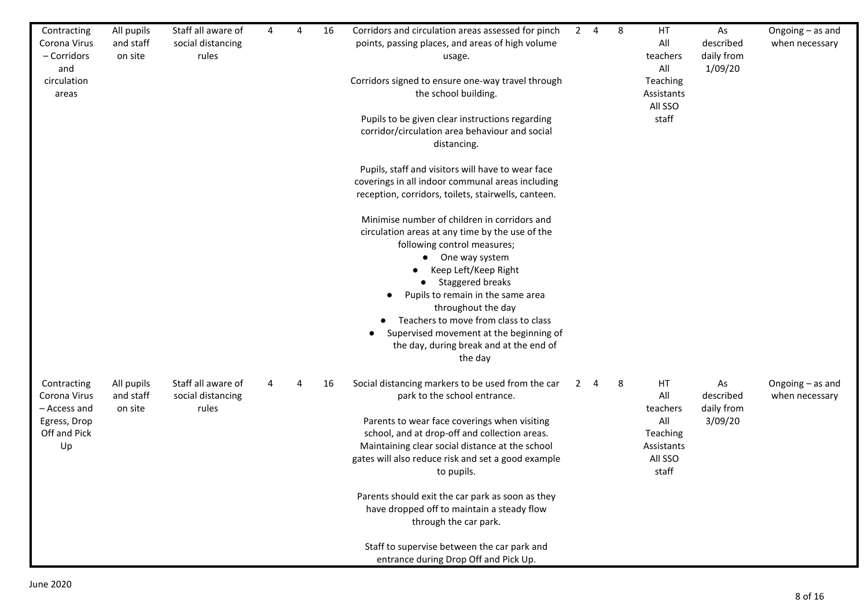| Contracting<br>Corona Virus<br>- Corridors<br>and<br>circulation<br>areas         | All pupils<br>and staff<br>on site | Staff all aware of<br>social distancing<br>rules | 4 | 4 | 16 | Corridors and circulation areas assessed for pinch<br>points, passing places, and areas of high volume<br>usage.<br>Corridors signed to ensure one-way travel through<br>the school building.<br>Pupils to be given clear instructions regarding<br>corridor/circulation area behaviour and social<br>distancing.<br>Pupils, staff and visitors will have to wear face<br>coverings in all indoor communal areas including<br>reception, corridors, toilets, stairwells, canteen.<br>Minimise number of children in corridors and<br>circulation areas at any time by the use of the<br>following control measures;<br>One way system<br>$\bullet$<br>Keep Left/Keep Right<br><b>Staggered breaks</b><br>$\bullet$<br>Pupils to remain in the same area<br>throughout the day<br>Teachers to move from class to class<br>Supervised movement at the beginning of<br>the day, during break and at the end of<br>the day |   | $2 \quad 4$ | 8 | HT<br>All<br>teachers<br>All<br>Teaching<br>Assistants<br>All SSO<br>staff | As<br>described<br>daily from<br>1/09/20 | Ongoing - as and<br>when necessary   |
|-----------------------------------------------------------------------------------|------------------------------------|--------------------------------------------------|---|---|----|------------------------------------------------------------------------------------------------------------------------------------------------------------------------------------------------------------------------------------------------------------------------------------------------------------------------------------------------------------------------------------------------------------------------------------------------------------------------------------------------------------------------------------------------------------------------------------------------------------------------------------------------------------------------------------------------------------------------------------------------------------------------------------------------------------------------------------------------------------------------------------------------------------------------|---|-------------|---|----------------------------------------------------------------------------|------------------------------------------|--------------------------------------|
| Contracting<br>Corona Virus<br>- Access and<br>Egress, Drop<br>Off and Pick<br>Up | All pupils<br>and staff<br>on site | Staff all aware of<br>social distancing<br>rules | 4 | Δ | 16 | Social distancing markers to be used from the car<br>park to the school entrance.<br>Parents to wear face coverings when visiting<br>school, and at drop-off and collection areas.<br>Maintaining clear social distance at the school<br>gates will also reduce risk and set a good example<br>to pupils.<br>Parents should exit the car park as soon as they<br>have dropped off to maintain a steady flow<br>through the car park.<br>Staff to supervise between the car park and<br>entrance during Drop Off and Pick Up.                                                                                                                                                                                                                                                                                                                                                                                           | 2 | 4           | 8 | HT<br>All<br>teachers<br>All<br>Teaching<br>Assistants<br>All SSO<br>staff | As<br>described<br>daily from<br>3/09/20 | Ongoing $-$ as and<br>when necessary |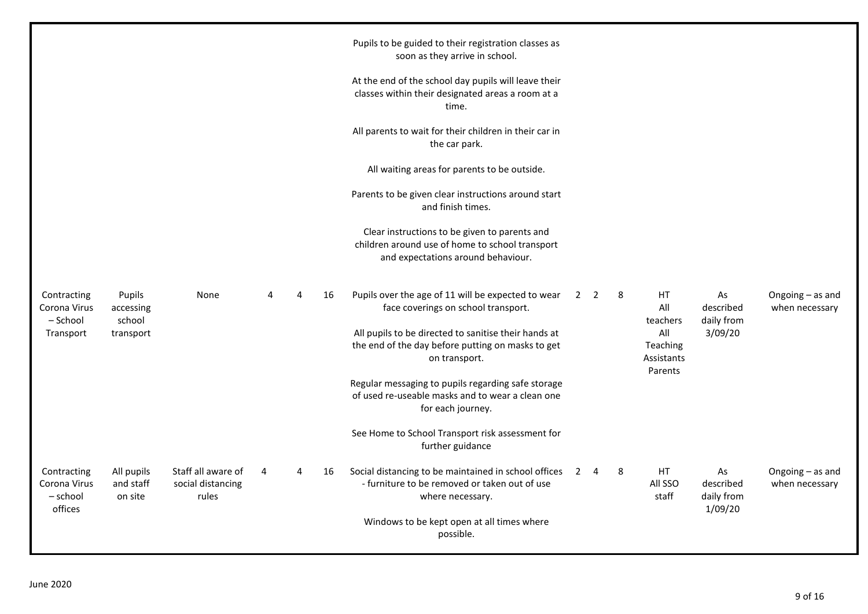|                                                      |                                            |                                                  |   |   |    | Pupils to be guided to their registration classes as<br>soon as they arrive in school.                                                                                                                                  |                |   |                                                        |                                          |                                    |
|------------------------------------------------------|--------------------------------------------|--------------------------------------------------|---|---|----|-------------------------------------------------------------------------------------------------------------------------------------------------------------------------------------------------------------------------|----------------|---|--------------------------------------------------------|------------------------------------------|------------------------------------|
|                                                      |                                            |                                                  |   |   |    | At the end of the school day pupils will leave their<br>classes within their designated areas a room at a<br>time.                                                                                                      |                |   |                                                        |                                          |                                    |
|                                                      |                                            |                                                  |   |   |    | All parents to wait for their children in their car in<br>the car park.                                                                                                                                                 |                |   |                                                        |                                          |                                    |
|                                                      |                                            |                                                  |   |   |    | All waiting areas for parents to be outside.                                                                                                                                                                            |                |   |                                                        |                                          |                                    |
|                                                      |                                            |                                                  |   |   |    | Parents to be given clear instructions around start<br>and finish times.                                                                                                                                                |                |   |                                                        |                                          |                                    |
|                                                      |                                            |                                                  |   |   |    | Clear instructions to be given to parents and<br>children around use of home to school transport<br>and expectations around behaviour.                                                                                  |                |   |                                                        |                                          |                                    |
| Contracting<br>Corona Virus<br>– School<br>Transport | Pupils<br>accessing<br>school<br>transport | None                                             |   | 4 | 16 | Pupils over the age of 11 will be expected to wear<br>face coverings on school transport.<br>All pupils to be directed to sanitise their hands at<br>the end of the day before putting on masks to get<br>on transport. | 2 <sub>2</sub> | 8 | HT<br>All<br>teachers<br>All<br>Teaching<br>Assistants | As<br>described<br>daily from<br>3/09/20 | Ongoing - as and<br>when necessary |
|                                                      |                                            |                                                  |   |   |    | Regular messaging to pupils regarding safe storage<br>of used re-useable masks and to wear a clean one<br>for each journey.                                                                                             |                |   | Parents                                                |                                          |                                    |
|                                                      |                                            |                                                  |   |   |    | See Home to School Transport risk assessment for<br>further guidance                                                                                                                                                    |                |   |                                                        |                                          |                                    |
| Contracting<br>Corona Virus<br>- school<br>offices   | All pupils<br>and staff<br>on site         | Staff all aware of<br>social distancing<br>rules | 4 | 4 | 16 | Social distancing to be maintained in school offices<br>- furniture to be removed or taken out of use<br>where necessary.<br>Windows to be kept open at all times where<br>possible.                                    | $2 \quad 4$    | 8 | HT<br>All SSO<br>staff                                 | As<br>described<br>daily from<br>1/09/20 | Ongoing - as and<br>when necessary |
|                                                      |                                            |                                                  |   |   |    |                                                                                                                                                                                                                         |                |   |                                                        |                                          |                                    |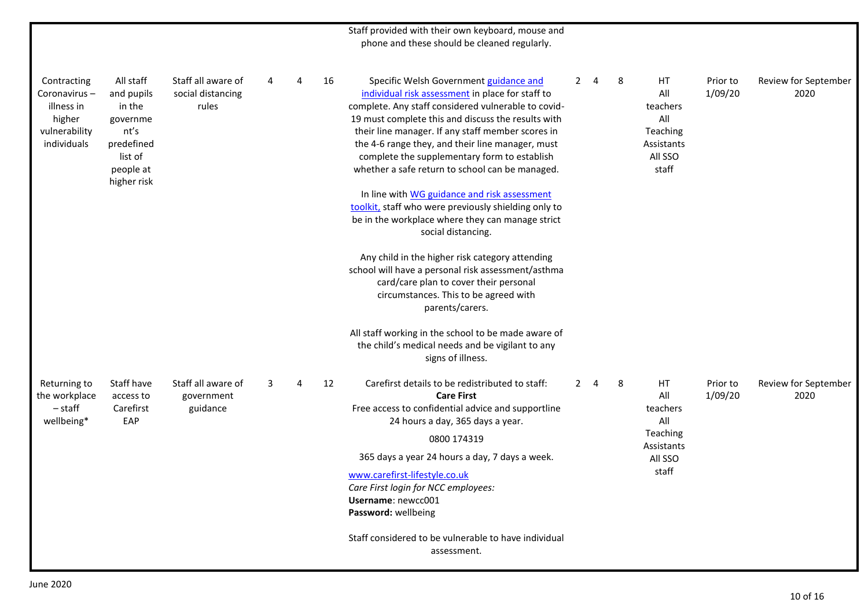|                                                                                     |                                                                                                            |                                                  |   |   |    | Staff provided with their own keyboard, mouse and<br>phone and these should be cleaned regularly.                                                                                                                                                                                                                                                                                                                                                                                                                                                                                                     |             |   |   |                                                                            |                     |                              |
|-------------------------------------------------------------------------------------|------------------------------------------------------------------------------------------------------------|--------------------------------------------------|---|---|----|-------------------------------------------------------------------------------------------------------------------------------------------------------------------------------------------------------------------------------------------------------------------------------------------------------------------------------------------------------------------------------------------------------------------------------------------------------------------------------------------------------------------------------------------------------------------------------------------------------|-------------|---|---|----------------------------------------------------------------------------|---------------------|------------------------------|
| Contracting<br>Coronavirus-<br>illness in<br>higher<br>vulnerability<br>individuals | All staff<br>and pupils<br>in the<br>governme<br>nt's<br>predefined<br>list of<br>people at<br>higher risk | Staff all aware of<br>social distancing<br>rules | 4 | 4 | 16 | Specific Welsh Government guidance and<br>individual risk assessment in place for staff to<br>complete. Any staff considered vulnerable to covid-<br>19 must complete this and discuss the results with<br>their line manager. If any staff member scores in<br>the 4-6 range they, and their line manager, must<br>complete the supplementary form to establish<br>whether a safe return to school can be managed.<br>In line with WG guidance and risk assessment<br>toolkit, staff who were previously shielding only to<br>be in the workplace where they can manage strict<br>social distancing. | $2^{\circ}$ | 4 | 8 | HT<br>All<br>teachers<br>All<br>Teaching<br>Assistants<br>All SSO<br>staff | Prior to<br>1/09/20 | Review for September<br>2020 |
|                                                                                     |                                                                                                            |                                                  |   |   |    | Any child in the higher risk category attending<br>school will have a personal risk assessment/asthma<br>card/care plan to cover their personal<br>circumstances. This to be agreed with<br>parents/carers.                                                                                                                                                                                                                                                                                                                                                                                           |             |   |   |                                                                            |                     |                              |
|                                                                                     |                                                                                                            |                                                  |   |   |    | All staff working in the school to be made aware of<br>the child's medical needs and be vigilant to any<br>signs of illness.                                                                                                                                                                                                                                                                                                                                                                                                                                                                          |             |   |   |                                                                            |                     |                              |
| Returning to<br>the workplace<br>$-$ staff<br>wellbeing*                            | Staff have<br>access to<br>Carefirst<br>EAP                                                                | Staff all aware of<br>government<br>guidance     | 3 | 4 | 12 | Carefirst details to be redistributed to staff:<br><b>Care First</b><br>Free access to confidential advice and supportline<br>24 hours a day, 365 days a year.<br>0800 174319<br>365 days a year 24 hours a day, 7 days a week.<br>www.carefirst-lifestyle.co.uk<br>Care First login for NCC employees:<br>Username: newcc001<br>Password: wellbeing<br>Staff considered to be vulnerable to have individual                                                                                                                                                                                          | $2^{\circ}$ | 4 | 8 | HT<br>All<br>teachers<br>All<br>Teaching<br>Assistants<br>All SSO<br>staff | Prior to<br>1/09/20 | Review for September<br>2020 |
|                                                                                     |                                                                                                            |                                                  |   |   |    | assessment.                                                                                                                                                                                                                                                                                                                                                                                                                                                                                                                                                                                           |             |   |   |                                                                            |                     |                              |
|                                                                                     |                                                                                                            |                                                  |   |   |    |                                                                                                                                                                                                                                                                                                                                                                                                                                                                                                                                                                                                       |             |   |   |                                                                            |                     |                              |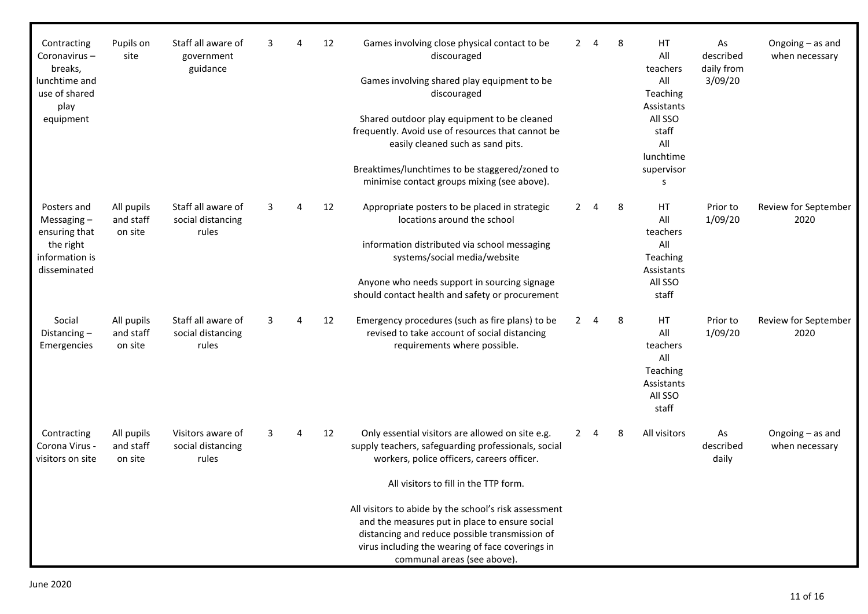| Contracting<br>Coronavirus-<br>breaks,<br>lunchtime and<br>use of shared<br>play<br>equipment | Pupils on<br>site                  | Staff all aware of<br>government<br>guidance     | 3 | 4        | 12 | Games involving close physical contact to be<br>discouraged<br>Games involving shared play equipment to be<br>discouraged<br>Shared outdoor play equipment to be cleaned<br>frequently. Avoid use of resources that cannot be<br>easily cleaned such as sand pits.<br>Breaktimes/lunchtimes to be staggered/zoned to<br>minimise contact groups mixing (see above). |                | $2 \quad 4$    | 8 | <b>HT</b><br>All<br>teachers<br>All<br>Teaching<br>Assistants<br>All SSO<br>staff<br>All<br>lunchtime<br>supervisor<br>s | As<br>described<br>daily from<br>3/09/20 | Ongoing - as and<br>when necessary |
|-----------------------------------------------------------------------------------------------|------------------------------------|--------------------------------------------------|---|----------|----|---------------------------------------------------------------------------------------------------------------------------------------------------------------------------------------------------------------------------------------------------------------------------------------------------------------------------------------------------------------------|----------------|----------------|---|--------------------------------------------------------------------------------------------------------------------------|------------------------------------------|------------------------------------|
| Posters and<br>Messaging $-$<br>ensuring that<br>the right<br>information is<br>disseminated  | All pupils<br>and staff<br>on site | Staff all aware of<br>social distancing<br>rules | 3 | $\Delta$ | 12 | Appropriate posters to be placed in strategic<br>locations around the school<br>information distributed via school messaging<br>systems/social media/website<br>Anyone who needs support in sourcing signage<br>should contact health and safety or procurement                                                                                                     | $2^{\circ}$    | $\overline{4}$ | 8 | HT<br>All<br>teachers<br>All<br>Teaching<br>Assistants<br>All SSO<br>staff                                               | Prior to<br>1/09/20                      | Review for September<br>2020       |
| Social<br>Distancing $-$<br>Emergencies                                                       | All pupils<br>and staff<br>on site | Staff all aware of<br>social distancing<br>rules | 3 | 4        | 12 | Emergency procedures (such as fire plans) to be<br>revised to take account of social distancing<br>requirements where possible.                                                                                                                                                                                                                                     | $\mathbf{2}$   | $\overline{4}$ | 8 | HT<br>All<br>teachers<br>All<br>Teaching<br>Assistants<br>All SSO<br>staff                                               | Prior to<br>1/09/20                      | Review for September<br>2020       |
| Contracting<br>Corona Virus -<br>visitors on site                                             | All pupils<br>and staff<br>on site | Visitors aware of<br>social distancing<br>rules  | 3 | 4        | 12 | Only essential visitors are allowed on site e.g.<br>supply teachers, safeguarding professionals, social<br>workers, police officers, careers officer.                                                                                                                                                                                                               | $\overline{2}$ | $\overline{4}$ | 8 | All visitors                                                                                                             | As<br>described<br>daily                 | Ongoing - as and<br>when necessary |
|                                                                                               |                                    |                                                  |   |          |    | All visitors to fill in the TTP form.                                                                                                                                                                                                                                                                                                                               |                |                |   |                                                                                                                          |                                          |                                    |
|                                                                                               |                                    |                                                  |   |          |    | All visitors to abide by the school's risk assessment<br>and the measures put in place to ensure social<br>distancing and reduce possible transmission of<br>virus including the wearing of face coverings in<br>communal areas (see above).                                                                                                                        |                |                |   |                                                                                                                          |                                          |                                    |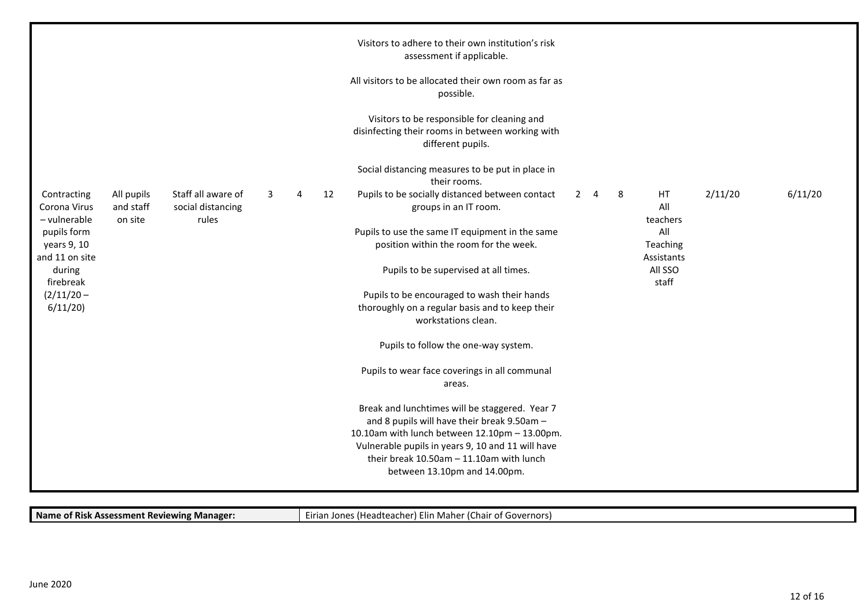| All visitors to be allocated their own room as far as<br>possible.<br>Visitors to be responsible for cleaning and<br>disinfecting their rooms in between working with<br>different pupils.<br>Social distancing measures to be put in place in<br>their rooms.<br>Staff all aware of<br>Pupils to be socially distanced between contact<br>2/11/20<br>Contracting<br>All pupils<br>12<br>$2 \quad 4$<br>8<br>HT.<br>3<br>Δ<br>All<br>and staff<br>Corona Virus<br>social distancing<br>groups in an IT room.<br>- vulnerable<br>on site<br>rules<br>teachers<br>Pupils to use the same IT equipment in the same<br>pupils form<br>All<br>position within the room for the week.<br>years 9, 10<br>Teaching<br>and 11 on site<br>Assistants<br>All SSO<br>during<br>Pupils to be supervised at all times.<br>staff<br>firebreak<br>Pupils to be encouraged to wash their hands<br>$(2/11/20 -$<br>6/11/20<br>thoroughly on a regular basis and to keep their<br>workstations clean. |         |
|------------------------------------------------------------------------------------------------------------------------------------------------------------------------------------------------------------------------------------------------------------------------------------------------------------------------------------------------------------------------------------------------------------------------------------------------------------------------------------------------------------------------------------------------------------------------------------------------------------------------------------------------------------------------------------------------------------------------------------------------------------------------------------------------------------------------------------------------------------------------------------------------------------------------------------------------------------------------------------|---------|
|                                                                                                                                                                                                                                                                                                                                                                                                                                                                                                                                                                                                                                                                                                                                                                                                                                                                                                                                                                                    |         |
|                                                                                                                                                                                                                                                                                                                                                                                                                                                                                                                                                                                                                                                                                                                                                                                                                                                                                                                                                                                    |         |
|                                                                                                                                                                                                                                                                                                                                                                                                                                                                                                                                                                                                                                                                                                                                                                                                                                                                                                                                                                                    |         |
|                                                                                                                                                                                                                                                                                                                                                                                                                                                                                                                                                                                                                                                                                                                                                                                                                                                                                                                                                                                    | 6/11/20 |
|                                                                                                                                                                                                                                                                                                                                                                                                                                                                                                                                                                                                                                                                                                                                                                                                                                                                                                                                                                                    |         |
|                                                                                                                                                                                                                                                                                                                                                                                                                                                                                                                                                                                                                                                                                                                                                                                                                                                                                                                                                                                    |         |
|                                                                                                                                                                                                                                                                                                                                                                                                                                                                                                                                                                                                                                                                                                                                                                                                                                                                                                                                                                                    |         |
| Pupils to follow the one-way system.                                                                                                                                                                                                                                                                                                                                                                                                                                                                                                                                                                                                                                                                                                                                                                                                                                                                                                                                               |         |
| Pupils to wear face coverings in all communal<br>areas.                                                                                                                                                                                                                                                                                                                                                                                                                                                                                                                                                                                                                                                                                                                                                                                                                                                                                                                            |         |
| Break and lunchtimes will be staggered. Year 7<br>and 8 pupils will have their break 9.50am -                                                                                                                                                                                                                                                                                                                                                                                                                                                                                                                                                                                                                                                                                                                                                                                                                                                                                      |         |
| 10.10am with lunch between 12.10pm - 13.00pm.                                                                                                                                                                                                                                                                                                                                                                                                                                                                                                                                                                                                                                                                                                                                                                                                                                                                                                                                      |         |
| Vulnerable pupils in years 9, 10 and 11 will have                                                                                                                                                                                                                                                                                                                                                                                                                                                                                                                                                                                                                                                                                                                                                                                                                                                                                                                                  |         |
| their break 10.50am - 11.10am with lunch                                                                                                                                                                                                                                                                                                                                                                                                                                                                                                                                                                                                                                                                                                                                                                                                                                                                                                                                           |         |
| between 13.10pm and 14.00pm.                                                                                                                                                                                                                                                                                                                                                                                                                                                                                                                                                                                                                                                                                                                                                                                                                                                                                                                                                       |         |

**Name of Risk Assessment Reviewing Manager:** Eirian Jones (Headteacher) Elin Maher (Chair of Governors)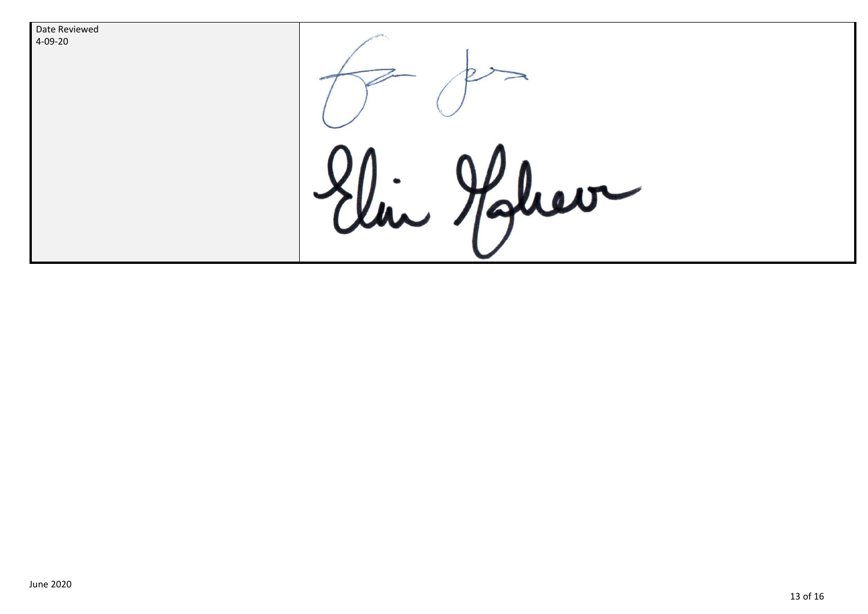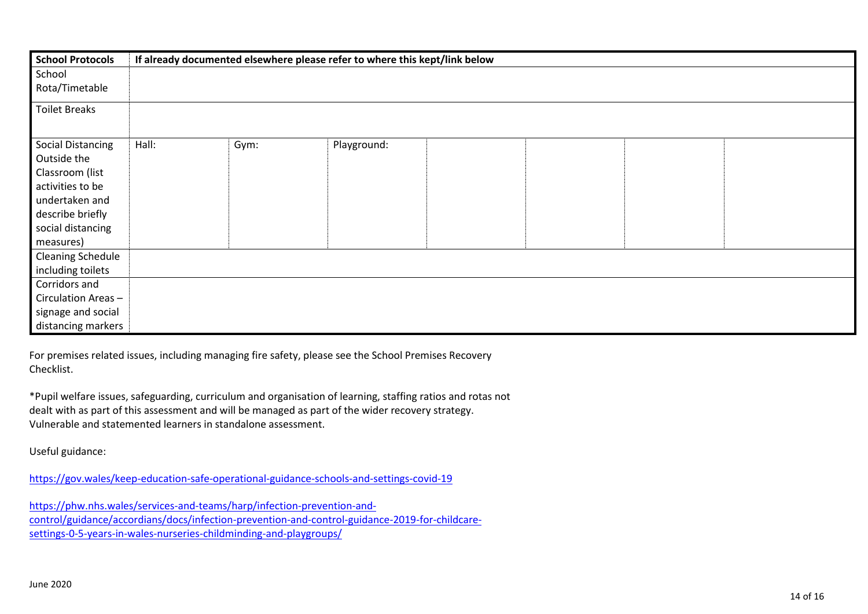| <b>School Protocols</b>  | If already documented elsewhere please refer to where this kept/link below |      |             |  |  |  |  |
|--------------------------|----------------------------------------------------------------------------|------|-------------|--|--|--|--|
| School                   |                                                                            |      |             |  |  |  |  |
| Rota/Timetable           |                                                                            |      |             |  |  |  |  |
| <b>Toilet Breaks</b>     |                                                                            |      |             |  |  |  |  |
| <b>Social Distancing</b> | Hall:                                                                      | Gym: | Playground: |  |  |  |  |
| Outside the              |                                                                            |      |             |  |  |  |  |
| Classroom (list          |                                                                            |      |             |  |  |  |  |
| activities to be         |                                                                            |      |             |  |  |  |  |
| undertaken and           |                                                                            |      |             |  |  |  |  |
| describe briefly         |                                                                            |      |             |  |  |  |  |
| social distancing        |                                                                            |      |             |  |  |  |  |
| measures)                |                                                                            |      |             |  |  |  |  |
| <b>Cleaning Schedule</b> |                                                                            |      |             |  |  |  |  |
| including toilets        |                                                                            |      |             |  |  |  |  |
| Corridors and            |                                                                            |      |             |  |  |  |  |
| Circulation Areas-       |                                                                            |      |             |  |  |  |  |
| signage and social       |                                                                            |      |             |  |  |  |  |
| distancing markers       |                                                                            |      |             |  |  |  |  |

For premises related issues, including managing fire safety, please see the School Premises Recovery Checklist.

\*Pupil welfare issues, safeguarding, curriculum and organisation of learning, staffing ratios and rotas not dealt with as part of this assessment and will be managed as part of the wider recovery strategy. Vulnerable and statemented learners in standalone assessment.

Useful guidance:

<https://gov.wales/keep-education-safe-operational-guidance-schools-and-settings-covid-19>

[https://phw.nhs.wales/services-and-teams/harp/infection-prevention-and](https://phw.nhs.wales/services-and-teams/harp/infection-prevention-and-control/guidance/accordians/docs/infection-prevention-and-control-guidance-2019-for-childcare-settings-0-5-years-in-wales-nurseries-childminding-and-playgroups/)[control/guidance/accordians/docs/infection-prevention-and-control-guidance-2019-for-childcare](https://phw.nhs.wales/services-and-teams/harp/infection-prevention-and-control/guidance/accordians/docs/infection-prevention-and-control-guidance-2019-for-childcare-settings-0-5-years-in-wales-nurseries-childminding-and-playgroups/)[settings-0-5-years-in-wales-nurseries-childminding-and-playgroups/](https://phw.nhs.wales/services-and-teams/harp/infection-prevention-and-control/guidance/accordians/docs/infection-prevention-and-control-guidance-2019-for-childcare-settings-0-5-years-in-wales-nurseries-childminding-and-playgroups/)